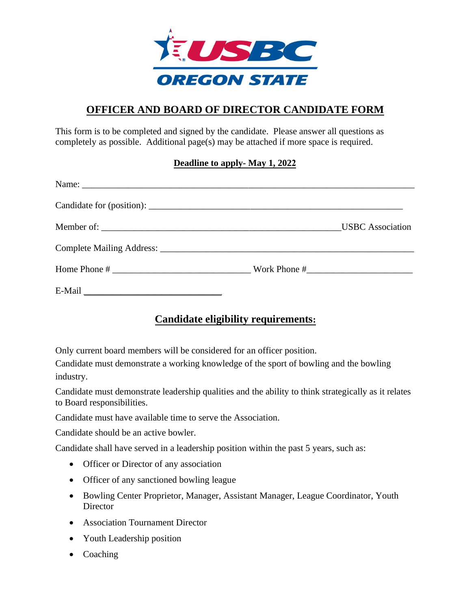

## **OFFICER AND BOARD OF DIRECTOR CANDIDATE FORM**

This form is to be completed and signed by the candidate. Please answer all questions as completely as possible. Additional page(s) may be attached if more space is required.

#### **Deadline to apply- May 1, 2022**

# **Candidate eligibility requirements:**

Only current board members will be considered for an officer position.

Candidate must demonstrate a working knowledge of the sport of bowling and the bowling industry.

Candidate must demonstrate leadership qualities and the ability to think strategically as it relates to Board responsibilities.

Candidate must have available time to serve the Association.

Candidate should be an active bowler.

Candidate shall have served in a leadership position within the past 5 years, such as:

- Officer or Director of any association
- Officer of any sanctioned bowling league
- Bowling Center Proprietor, Manager, Assistant Manager, League Coordinator, Youth **Director**
- Association Tournament Director
- Youth Leadership position
- Coaching